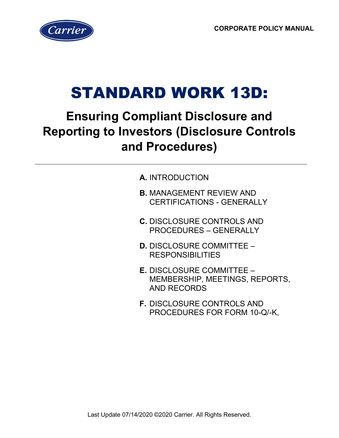

# STANDARD WORK 13D:

# **Ensuring Compliant Disclosure and Reporting to Investors (Disclosure Controls and Procedures)**

- **A.** INTRODUCTION
- **B.** MANAGEMENT REVIEW AND CERTIFICATIONS - GENERALLY
- **C.** DISCLOSURE CONTROLS AND PROCEDURES – GENERALLY
- **D.** DISCLOSURE COMMITTEE RESPONSIBILITIES
- **E.** DISCLOSURE COMMITTEE MEMBERSHIP, MEETINGS, REPORTS, AND RECORDS
- **F.** DISCLOSURE CONTROLS AND PROCEDURES FOR FORM 10-Q/-K,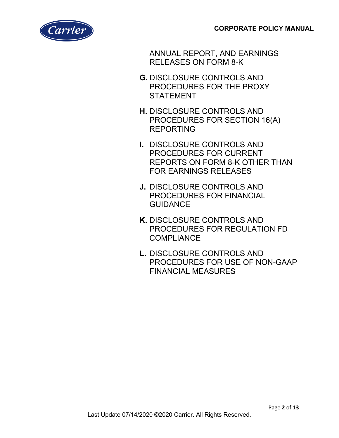

ANNUAL REPORT, AND EARNINGS RELEASES ON FORM 8-K

- **G.** DISCLOSURE CONTROLS AND PROCEDURES FOR THE PROXY **STATEMENT**
- **H.** DISCLOSURE CONTROLS AND PROCEDURES FOR SECTION 16(A) REPORTING
- **I.** DISCLOSURE CONTROLS AND PROCEDURES FOR CURRENT REPORTS ON FORM 8-K OTHER THAN FOR EARNINGS RELEASES
- **J.** DISCLOSURE CONTROLS AND PROCEDURES FOR FINANCIAL **GUIDANCE**
- **K.** DISCLOSURE CONTROLS AND PROCEDURES FOR REGULATION FD COMPLIANCE
- **L.** DISCLOSURE CONTROLS AND PROCEDURES FOR USE OF NON-GAAP FINANCIAL MEASURES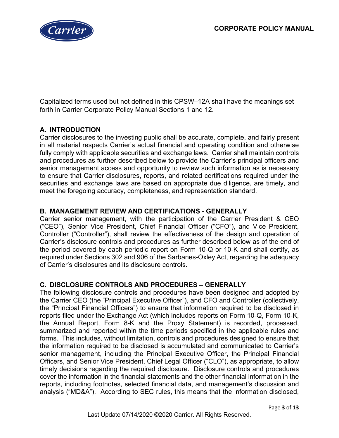

Capitalized terms used but not defined in this CPSW–12A shall have the meanings set forth in Carrier Corporate Policy Manual Sections 1 and 12.

# **A. INTRODUCTION**

Carrier disclosures to the investing public shall be accurate, complete, and fairly present in all material respects Carrier's actual financial and operating condition and otherwise fully comply with applicable securities and exchange laws. Carrier shall maintain controls and procedures as further described below to provide the Carrier's principal officers and senior management access and opportunity to review such information as is necessary to ensure that Carrier disclosures, reports, and related certifications required under the securities and exchange laws are based on appropriate due diligence, are timely, and meet the foregoing accuracy, completeness, and representation standard.

# **B. MANAGEMENT REVIEW AND CERTIFICATIONS - GENERALLY**

Carrier senior management, with the participation of the Carrier President & CEO ("CEO"), Senior Vice President, Chief Financial Officer ("CFO"), and Vice President, Controller ("Controller"), shall review the effectiveness of the design and operation of Carrier's disclosure controls and procedures as further described below as of the end of the period covered by each periodic report on Form 10-Q or 10-K and shall certify, as required under Sections 302 and 906 of the Sarbanes-Oxley Act, regarding the adequacy of Carrier's disclosures and its disclosure controls.

# **C. DISCLOSURE CONTROLS AND PROCEDURES – GENERALLY**

The following disclosure controls and procedures have been designed and adopted by the Carrier CEO (the "Principal Executive Officer"), and CFO and Controller (collectively, the "Principal Financial Officers") to ensure that information required to be disclosed in reports filed under the Exchange Act (which includes reports on Form 10-Q, Form 10-K, the Annual Report, Form 8-K and the Proxy Statement) is recorded, processed, summarized and reported within the time periods specified in the applicable rules and forms. This includes, without limitation, controls and procedures designed to ensure that the information required to be disclosed is accumulated and communicated to Carrier's senior management, including the Principal Executive Officer, the Principal Financial Officers, and Senior Vice President, Chief Legal Officer ("CLO"), as appropriate, to allow timely decisions regarding the required disclosure. Disclosure controls and procedures cover the information in the financial statements and the other financial information in the reports, including footnotes, selected financial data, and management's discussion and analysis ("MD&A"). According to SEC rules, this means that the information disclosed,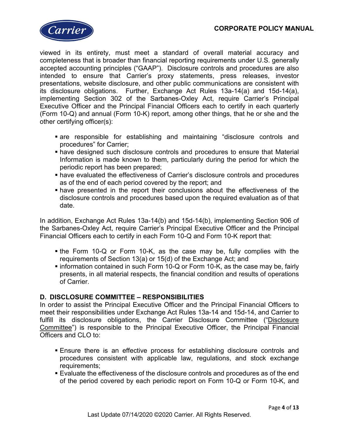

viewed in its entirety, must meet a standard of overall material accuracy and completeness that is broader than financial reporting requirements under U.S. generally accepted accounting principles ("GAAP"). Disclosure controls and procedures are also intended to ensure that Carrier's proxy statements, press releases, investor presentations, website disclosure, and other public communications are consistent with its disclosure obligations. Further, Exchange Act Rules 13a-14(a) and 15d-14(a), implementing Section 302 of the Sarbanes-Oxley Act, require Carrier's Principal Executive Officer and the Principal Financial Officers each to certify in each quarterly (Form 10-Q) and annual (Form 10-K) report, among other things, that he or she and the other certifying officer(s):

- are responsible for establishing and maintaining "disclosure controls and procedures" for Carrier;
- have designed such disclosure controls and procedures to ensure that Material Information is made known to them, particularly during the period for which the periodic report has been prepared;
- have evaluated the effectiveness of Carrier's disclosure controls and procedures as of the end of each period covered by the report; and
- have presented in the report their conclusions about the effectiveness of the disclosure controls and procedures based upon the required evaluation as of that date.

In addition, Exchange Act Rules 13a-14(b) and 15d-14(b), implementing Section 906 of the Sarbanes-Oxley Act, require Carrier's Principal Executive Officer and the Principal Financial Officers each to certify in each Form 10-Q and Form 10-K report that:

- the Form 10-Q or Form 10-K, as the case may be, fully complies with the requirements of Section 13(a) or 15(d) of the Exchange Act; and
- information contained in such Form 10-Q or Form 10-K, as the case may be, fairly presents, in all material respects, the financial condition and results of operations of Carrier.

# **D. DISCLOSURE COMMITTEE – RESPONSIBILITIES**

In order to assist the Principal Executive Officer and the Principal Financial Officers to meet their responsibilities under Exchange Act Rules 13a-14 and 15d-14, and Carrier to fulfill its disclosure obligations, the Carrier Disclosure Committee ("Disclosure Committee") is responsible to the Principal Executive Officer, the Principal Financial Officers and CLO to:

- Ensure there is an effective process for establishing disclosure controls and procedures consistent with applicable law, regulations, and stock exchange requirements;
- Evaluate the effectiveness of the disclosure controls and procedures as of the end of the period covered by each periodic report on Form 10-Q or Form 10-K, and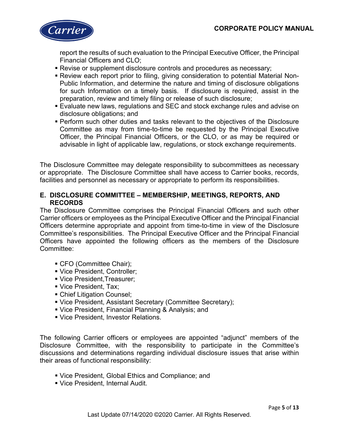

report the results of such evaluation to the Principal Executive Officer, the Principal Financial Officers and CLO;

- Revise or supplement disclosure controls and procedures as necessary;
- Review each report prior to filing, giving consideration to potential Material Non-Public Information, and determine the nature and timing of disclosure obligations for such Information on a timely basis. If disclosure is required, assist in the preparation, review and timely filing or release of such disclosure;
- Evaluate new laws, regulations and SEC and stock exchange rules and advise on disclosure obligations; and
- Perform such other duties and tasks relevant to the objectives of the Disclosure Committee as may from time-to-time be requested by the Principal Executive Officer, the Principal Financial Officers, or the CLO, or as may be required or advisable in light of applicable law, regulations, or stock exchange requirements.

The Disclosure Committee may delegate responsibility to subcommittees as necessary or appropriate. The Disclosure Committee shall have access to Carrier books, records, facilities and personnel as necessary or appropriate to perform its responsibilities.

# **E. DISCLOSURE COMMITTEE – MEMBERSHIP, MEETINGS, REPORTS, AND RECORDS**

The Disclosure Committee comprises the Principal Financial Officers and such other Carrier officers or employees as the Principal Executive Officer and the Principal Financial Officers determine appropriate and appoint from time-to-time in view of the Disclosure Committee's responsibilities. The Principal Executive Officer and the Principal Financial Officers have appointed the following officers as the members of the Disclosure Committee:

- CFO (Committee Chair);
- Vice President, Controller;
- Vice President,Treasurer;
- Vice President, Tax;
- Chief Litigation Counsel;
- Vice President, Assistant Secretary (Committee Secretary);
- Vice President, Financial Planning & Analysis; and
- Vice President, Investor Relations.

The following Carrier officers or employees are appointed "adjunct" members of the Disclosure Committee, with the responsibility to participate in the Committee's discussions and determinations regarding individual disclosure issues that arise within their areas of functional responsibility:

- Vice President, Global Ethics and Compliance; and
- Vice President, Internal Audit.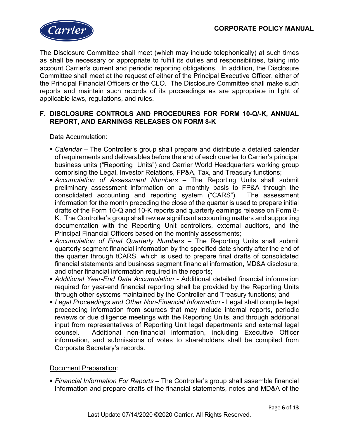

The Disclosure Committee shall meet (which may include telephonically) at such times as shall be necessary or appropriate to fulfill its duties and responsibilities, taking into account Carrier's current and periodic reporting obligations. In addition, the Disclosure Committee shall meet at the request of either of the Principal Executive Officer, either of the Principal Financial Officers or the CLO. The Disclosure Committee shall make such reports and maintain such records of its proceedings as are appropriate in light of applicable laws, regulations, and rules.

# **F. DISCLOSURE CONTROLS AND PROCEDURES FOR FORM 10-Q/-K, ANNUAL REPORT, AND EARNINGS RELEASES ON FORM 8-K**

#### Data Accumulation:

- *Calendar* The Controller's group shall prepare and distribute a detailed calendar of requirements and deliverables before the end of each quarter to Carrier's principal business units ("Reporting Units") and Carrier World Headquarters working group comprising the Legal, Investor Relations, FP&A, Tax, and Treasury functions;
- *Accumulation of Assessment Numbers* The Reporting Units shall submit preliminary assessment information on a monthly basis to FP&A through the consolidated accounting and reporting system ("CARS"). The assessment information for the month preceding the close of the quarter is used to prepare initial drafts of the Form 10-Q and 10-K reports and quarterly earnings release on Form 8- K. The Controller's group shall review significant accounting matters and supporting documentation with the Reporting Unit controllers, external auditors, and the Principal Financial Officers based on the monthly assessments;
- *Accumulation of Final Quarterly Numbers* The Reporting Units shall submit quarterly segment financial information by the specified date shortly after the end of the quarter through tCARS, which is used to prepare final drafts of consolidated financial statements and business segment financial information, MD&A disclosure, and other financial information required in the reports;
- *Additional Year-End Data Accumulation* Additional detailed financial information required for year-end financial reporting shall be provided by the Reporting Units through other systems maintained by the Controller and Treasury functions; and
- *Legal Proceedings and Other Non-Financial Information* Legal shall compile legal proceeding information from sources that may include internal reports, periodic reviews or due diligence meetings with the Reporting Units, and through additional input from representatives of Reporting Unit legal departments and external legal counsel. Additional non-financial information, including Executive Officer information, and submissions of votes to shareholders shall be compiled from Corporate Secretary's records.

# Document Preparation:

 *Financial Information For Reports –* The Controller's group shall assemble financial information and prepare drafts of the financial statements, notes and MD&A of the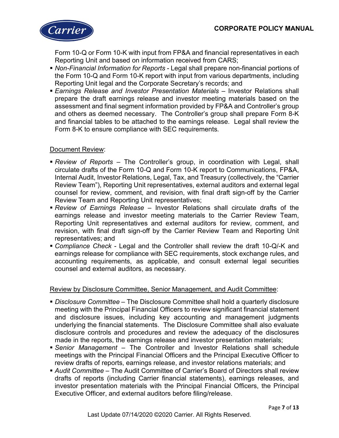

Form 10-Q or Form 10-K with input from FP&A and financial representatives in each Reporting Unit and based on information received from CARS;

- *Non-Financial Information for Reports* Legal shall prepare non-financial portions of the Form 10-Q and Form 10-K report with input from various departments, including Reporting Unit legal and the Corporate Secretary's records; and
- **Earnings Release and Investor Presentation Materials Investor Relations shall** prepare the draft earnings release and investor meeting materials based on the assessment and final segment information provided by FP&A and Controller's group and others as deemed necessary. The Controller's group shall prepare Form 8-K and financial tables to be attached to the earnings release. Legal shall review the Form 8-K to ensure compliance with SEC requirements*.*

#### Document Review:

- *Review of Reports*  The Controller's group, in coordination with Legal, shall circulate drafts of the Form 10-Q and Form 10-K report to Communications, FP&A, Internal Audit, Investor Relations, Legal, Tax, and Treasury (collectively, the "Carrier Review Team"), Reporting Unit representatives, external auditors and external legal counsel for review, comment, and revision, with final draft sign-off by the Carrier Review Team and Reporting Unit representatives;
- *Review of Earnings Release*  Investor Relations shall circulate drafts of the earnings release and investor meeting materials to the Carrier Review Team, Reporting Unit representatives and external auditors for review, comment, and revision, with final draft sign-off by the Carrier Review Team and Reporting Unit representatives; and
- *Compliance Check*  Legal and the Controller shall review the draft 10-Q/-K and earnings release for compliance with SEC requirements, stock exchange rules, and accounting requirements, as applicable, and consult external legal securities counsel and external auditors, as necessary*.*

# Review by Disclosure Committee, Senior Management, and Audit Committee:

- *Disclosure Committee*  The Disclosure Committee shall hold a quarterly disclosure meeting with the Principal Financial Officers to review significant financial statement and disclosure issues, including key accounting and management judgments underlying the financial statements. The Disclosure Committee shall also evaluate disclosure controls and procedures and review the adequacy of the disclosures made in the reports, the earnings release and investor presentation materials;
- *Senior Management –* The Controller and Investor Relations shall schedule meetings with the Principal Financial Officers and the Principal Executive Officer to review drafts of reports, earnings release, and investor relations materials; and
- *Audit Committee* The Audit Committee of Carrier's Board of Directors shall review drafts of reports (including Carrier financial statements), earnings releases, and investor presentation materials with the Principal Financial Officers, the Principal Executive Officer, and external auditors before filing/release.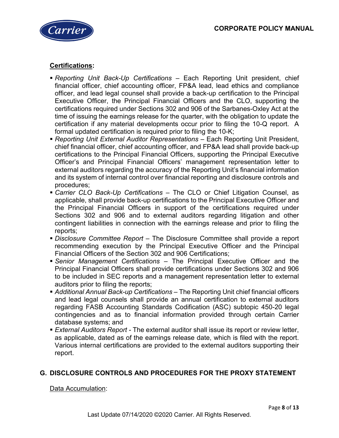

# **Certifications:**

- *Reporting Unit Back-Up Certifications* Each Reporting Unit president, chief financial officer, chief accounting officer, FP&A lead, lead ethics and compliance officer, and lead legal counsel shall provide a back-up certification to the Principal Executive Officer, the Principal Financial Officers and the CLO, supporting the certifications required under Sections 302 and 906 of the Sarbanes-Oxley Act at the time of issuing the earnings release for the quarter, with the obligation to update the certification if any material developments occur prior to filing the 10-Q report. A formal updated certification is required prior to filing the 10-K;
- *Reporting Unit External Auditor Representations* Each Reporting Unit President, chief financial officer, chief accounting officer, and FP&A lead shall provide back-up certifications to the Principal Financial Officers, supporting the Principal Executive Officer's and Principal Financial Officers' management representation letter to external auditors regarding the accuracy of the Reporting Unit's financial information and its system of internal control over financial reporting and disclosure controls and procedures;
- *Carrier CLO Back-Up Certifications* The CLO or Chief Litigation Counsel, as applicable, shall provide back-up certifications to the Principal Executive Officer and the Principal Financial Officers in support of the certifications required under Sections 302 and 906 and to external auditors regarding litigation and other contingent liabilities in connection with the earnings release and prior to filing the reports;
- *Disclosure Committee Report* The Disclosure Committee shall provide a report recommending execution by the Principal Executive Officer and the Principal Financial Officers of the Section 302 and 906 Certifications;
- *Senior Management Certifications* The Principal Executive Officer and the Principal Financial Officers shall provide certifications under Sections 302 and 906 to be included in SEC reports and a management representation letter to external auditors prior to filing the reports;
- *Additional Annual Back-up Certifications* The Reporting Unit chief financial officers and lead legal counsels shall provide an annual certification to external auditors regarding FASB Accounting Standards Codification (ASC) subtopic 450-20 legal contingencies and as to financial information provided through certain Carrier database systems; and
- *External Auditors Report* The external auditor shall issue its report or review letter, as applicable, dated as of the earnings release date, which is filed with the report. Various internal certifications are provided to the external auditors supporting their report.

# **G. DISCLOSURE CONTROLS AND PROCEDURES FOR THE PROXY STATEMENT**

# Data Accumulation: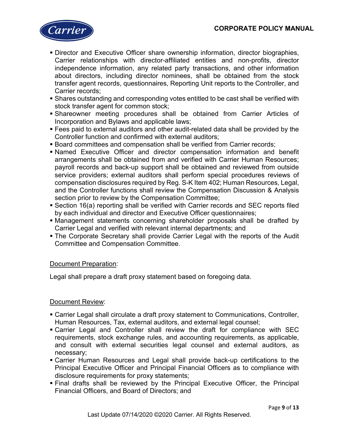

- Director and Executive Officer share ownership information, director biographies, Carrier relationships with director-affiliated entities and non-profits, director independence information, any related party transactions, and other information about directors, including director nominees, shall be obtained from the stock transfer agent records, questionnaires, Reporting Unit reports to the Controller, and Carrier records;
- Shares outstanding and corresponding votes entitled to be cast shall be verified with stock transfer agent for common stock;
- Shareowner meeting procedures shall be obtained from Carrier Articles of Incorporation and Bylaws and applicable laws;
- Fees paid to external auditors and other audit-related data shall be provided by the Controller function and confirmed with external auditors;
- Board committees and compensation shall be verified from Carrier records;
- Named Executive Officer and director compensation information and benefit arrangements shall be obtained from and verified with Carrier Human Resources; payroll records and back-up support shall be obtained and reviewed from outside service providers; external auditors shall perform special procedures reviews of compensation disclosures required by Reg. S-K Item 402; Human Resources, Legal, and the Controller functions shall review the Compensation Discussion & Analysis section prior to review by the Compensation Committee;
- Section 16(a) reporting shall be verified with Carrier records and SEC reports filed by each individual and director and Executive Officer questionnaires;
- Management statements concerning shareholder proposals shall be drafted by Carrier Legal and verified with relevant internal departments; and
- The Corporate Secretary shall provide Carrier Legal with the reports of the Audit Committee and Compensation Committee.

# Document Preparation:

Legal shall prepare a draft proxy statement based on foregoing data.

# Document Review:

- Carrier Legal shall circulate a draft proxy statement to Communications, Controller, Human Resources, Tax, external auditors, and external legal counsel;
- Carrier Legal and Controller shall review the draft for compliance with SEC requirements, stock exchange rules, and accounting requirements, as applicable, and consult with external securities legal counsel and external auditors, as necessary;
- Carrier Human Resources and Legal shall provide back-up certifications to the Principal Executive Officer and Principal Financial Officers as to compliance with disclosure requirements for proxy statements;
- Final drafts shall be reviewed by the Principal Executive Officer, the Principal Financial Officers, and Board of Directors; and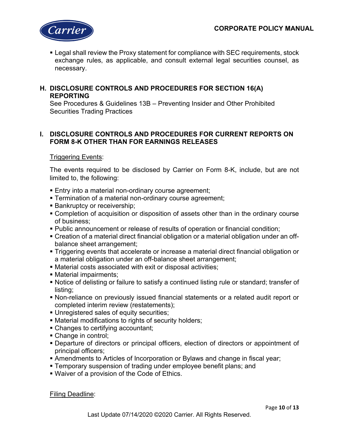

 Legal shall review the Proxy statement for compliance with SEC requirements, stock exchange rules, as applicable, and consult external legal securities counsel, as necessary.

# **H. DISCLOSURE CONTROLS AND PROCEDURES FOR SECTION 16(A) REPORTING**

See Procedures & Guidelines 13B – Preventing Insider and Other Prohibited Securities Trading Practices

# **I. DISCLOSURE CONTROLS AND PROCEDURES FOR CURRENT REPORTS ON FORM 8-K OTHER THAN FOR EARNINGS RELEASES**

# Triggering Events:

The events required to be disclosed by Carrier on Form 8-K, include, but are not limited to, the following:

- **Entry into a material non-ordinary course agreement;**
- Termination of a material non-ordinary course agreement;
- **Bankruptcy or receivership;**
- Completion of acquisition or disposition of assets other than in the ordinary course of business;
- Public announcement or release of results of operation or financial condition;
- Creation of a material direct financial obligation or a material obligation under an offbalance sheet arrangement;
- Triggering events that accelerate or increase a material direct financial obligation or a material obligation under an off-balance sheet arrangement;
- Material costs associated with exit or disposal activities;
- Material impairments;
- Notice of delisting or failure to satisfy a continued listing rule or standard; transfer of listing;
- Non-reliance on previously issued financial statements or a related audit report or completed interim review (restatements);
- Unregistered sales of equity securities;
- Material modifications to rights of security holders;
- Changes to certifying accountant;
- Change in control;
- Departure of directors or principal officers, election of directors or appointment of principal officers;
- Amendments to Articles of Incorporation or Bylaws and change in fiscal year;
- **Temporary suspension of trading under employee benefit plans; and**
- Waiver of a provision of the Code of Ethics.

Filing Deadline: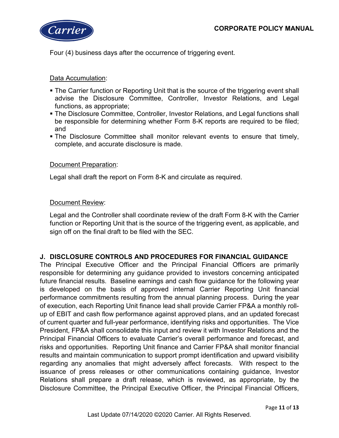

Four (4) business days after the occurrence of triggering event.

Data Accumulation:

- The Carrier function or Reporting Unit that is the source of the triggering event shall advise the Disclosure Committee, Controller, Investor Relations, and Legal functions, as appropriate;
- The Disclosure Committee, Controller, Investor Relations, and Legal functions shall be responsible for determining whether Form 8-K reports are required to be filed; and
- The Disclosure Committee shall monitor relevant events to ensure that timely, complete, and accurate disclosure is made.

# Document Preparation:

Legal shall draft the report on Form 8-K and circulate as required.

#### Document Review:

Legal and the Controller shall coordinate review of the draft Form 8-K with the Carrier function or Reporting Unit that is the source of the triggering event, as applicable, and sign off on the final draft to be filed with the SEC.

# **J. DISCLOSURE CONTROLS AND PROCEDURES FOR FINANCIAL GUIDANCE**

The Principal Executive Officer and the Principal Financial Officers are primarily responsible for determining any guidance provided to investors concerning anticipated future financial results. Baseline earnings and cash flow guidance for the following year is developed on the basis of approved internal Carrier Reporting Unit financial performance commitments resulting from the annual planning process. During the year of execution, each Reporting Unit finance lead shall provide Carrier FP&A a monthly rollup of EBIT and cash flow performance against approved plans, and an updated forecast of current quarter and full-year performance, identifying risks and opportunities. The Vice President, FP&A shall consolidate this input and review it with Investor Relations and the Principal Financial Officers to evaluate Carrier's overall performance and forecast, and risks and opportunities. Reporting Unit finance and Carrier FP&A shall monitor financial results and maintain communication to support prompt identification and upward visibility regarding any anomalies that might adversely affect forecasts. With respect to the issuance of press releases or other communications containing guidance, Investor Relations shall prepare a draft release, which is reviewed, as appropriate, by the Disclosure Committee, the Principal Executive Officer, the Principal Financial Officers,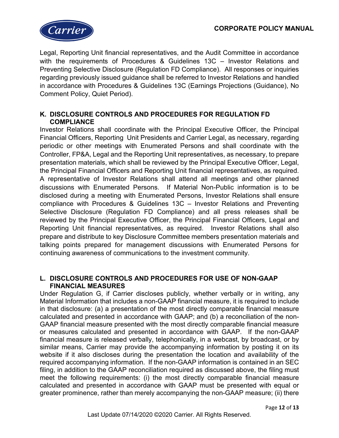

Legal, Reporting Unit financial representatives, and the Audit Committee in accordance with the requirements of Procedures & Guidelines 13C – Investor Relations and Preventing Selective Disclosure (Regulation FD Compliance). All responses or inquiries regarding previously issued guidance shall be referred to Investor Relations and handled in accordance with Procedures & Guidelines 13C (Earnings Projections (Guidance), No Comment Policy, Quiet Period).

# **K. DISCLOSURE CONTROLS AND PROCEDURES FOR REGULATION FD COMPLIANCE**

Investor Relations shall coordinate with the Principal Executive Officer, the Principal Financial Officers, Reporting Unit Presidents and Carrier Legal, as necessary, regarding periodic or other meetings with Enumerated Persons and shall coordinate with the Controller, FP&A, Legal and the Reporting Unit representatives, as necessary, to prepare presentation materials, which shall be reviewed by the Principal Executive Officer, Legal, the Principal Financial Officers and Reporting Unit financial representatives, as required. A representative of Investor Relations shall attend all meetings and other planned discussions with Enumerated Persons. If Material Non-Public information is to be disclosed during a meeting with Enumerated Persons, Investor Relations shall ensure compliance with Procedures & Guidelines 13C – Investor Relations and Preventing Selective Disclosure (Regulation FD Compliance) and all press releases shall be reviewed by the Principal Executive Officer, the Principal Financial Officers, Legal and Reporting Unit financial representatives, as required. Investor Relations shall also prepare and distribute to key Disclosure Committee members presentation materials and talking points prepared for management discussions with Enumerated Persons for continuing awareness of communications to the investment community.

# **L. DISCLOSURE CONTROLS AND PROCEDURES FOR USE OF NON-GAAP FINANCIAL MEASURES**

Under Regulation G, if Carrier discloses publicly, whether verbally or in writing, any Material Information that includes a non-GAAP financial measure, it is required to include in that disclosure: (a) a presentation of the most directly comparable financial measure calculated and presented in accordance with GAAP; and (b) a reconciliation of the non-GAAP financial measure presented with the most directly comparable financial measure or measures calculated and presented in accordance with GAAP. If the non-GAAP financial measure is released verbally, telephonically, in a webcast, by broadcast, or by similar means, Carrier may provide the accompanying information by posting it on its website if it also discloses during the presentation the location and availability of the required accompanying information. If the non-GAAP information is contained in an SEC filing, in addition to the GAAP reconciliation required as discussed above, the filing must meet the following requirements: (i) the most directly comparable financial measure calculated and presented in accordance with GAAP must be presented with equal or greater prominence, rather than merely accompanying the non-GAAP measure; (ii) there